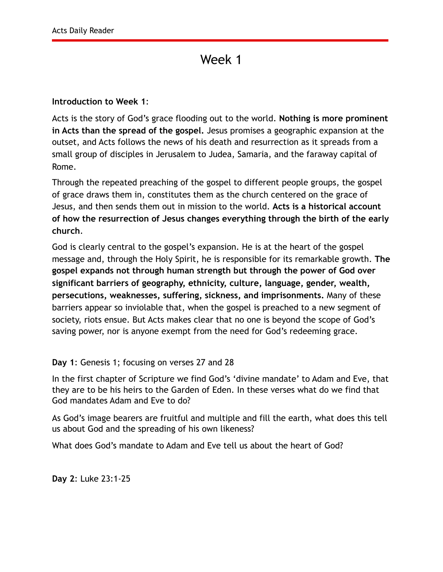#### **Introduction to Week 1**:

Acts is the story of God's grace flooding out to the world. **Nothing is more prominent in Acts than the spread of the gospel.** Jesus promises a geographic expansion at the outset, and Acts follows the news of his death and resurrection as it spreads from a small group of disciples in Jerusalem to Judea, Samaria, and the faraway capital of Rome.

Through the repeated preaching of the gospel to different people groups, the gospel of grace draws them in, constitutes them as the church centered on the grace of Jesus, and then sends them out in mission to the world. **Acts is a historical account of how the resurrection of Jesus changes everything through the birth of the early church**.

God is clearly central to the gospel's expansion. He is at the heart of the gospel message and, through the Holy Spirit, he is responsible for its remarkable growth. **The gospel expands not through human strength but through the power of God over significant barriers of geography, ethnicity, culture, language, gender, wealth, persecutions, weaknesses, suffering, sickness, and imprisonments.** Many of these barriers appear so inviolable that, when the gospel is preached to a new segment of society, riots ensue. But Acts makes clear that no one is beyond the scope of God's saving power, nor is anyone exempt from the need for God's redeeming grace.

#### **Day 1**: Genesis 1; focusing on verses 27 and 28

In the first chapter of Scripture we find God's 'divine mandate' to Adam and Eve, that they are to be his heirs to the Garden of Eden. In these verses what do we find that God mandates Adam and Eve to do?

As God's image bearers are fruitful and multiple and fill the earth, what does this tell us about God and the spreading of his own likeness?

What does God's mandate to Adam and Eve tell us about the heart of God?

**Day 2**: Luke 23:1-25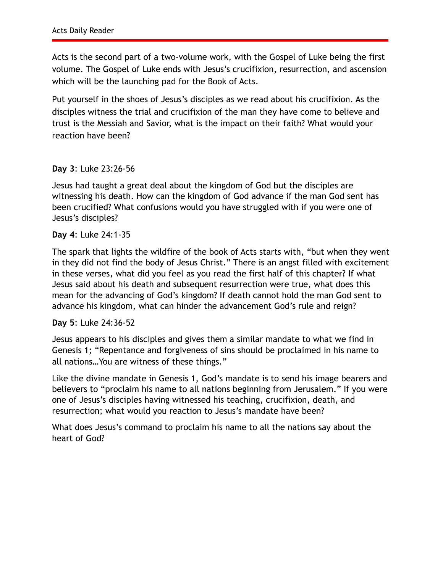Acts is the second part of a two-volume work, with the Gospel of Luke being the first volume. The Gospel of Luke ends with Jesus's crucifixion, resurrection, and ascension which will be the launching pad for the Book of Acts.

Put yourself in the shoes of Jesus's disciples as we read about his crucifixion. As the disciples witness the trial and crucifixion of the man they have come to believe and trust is the Messiah and Savior, what is the impact on their faith? What would your reaction have been?

**Day 3**: Luke 23:26-56

Jesus had taught a great deal about the kingdom of God but the disciples are witnessing his death. How can the kingdom of God advance if the man God sent has been crucified? What confusions would you have struggled with if you were one of Jesus's disciples?

**Day 4**: Luke 24:1-35

The spark that lights the wildfire of the book of Acts starts with, "but when they went in they did not find the body of Jesus Christ." There is an angst filled with excitement in these verses, what did you feel as you read the first half of this chapter? If what Jesus said about his death and subsequent resurrection were true, what does this mean for the advancing of God's kingdom? If death cannot hold the man God sent to advance his kingdom, what can hinder the advancement God's rule and reign?

**Day 5**: Luke 24:36-52

Jesus appears to his disciples and gives them a similar mandate to what we find in Genesis 1; "Repentance and forgiveness of sins should be proclaimed in his name to all nations…You are witness of these things."

Like the divine mandate in Genesis 1, God's mandate is to send his image bearers and believers to "proclaim his name to all nations beginning from Jerusalem." If you were one of Jesus's disciples having witnessed his teaching, crucifixion, death, and resurrection; what would you reaction to Jesus's mandate have been?

What does Jesus's command to proclaim his name to all the nations say about the heart of God?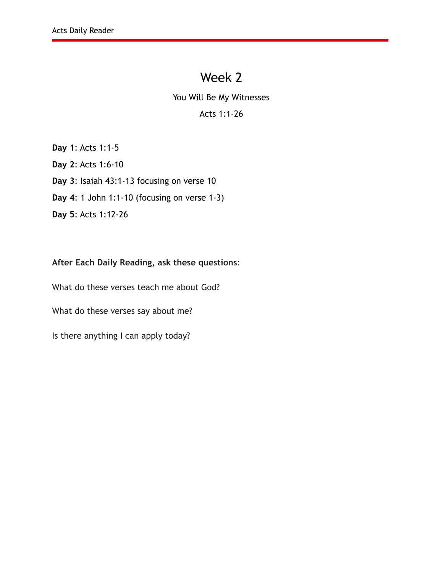You Will Be My Witnesses

### Acts 1:1-26

**Day 1**: Acts 1:1-5

**Day 2**: Acts 1:6-10

**Day 3**: Isaiah 43:1-13 focusing on verse 10

**Day 4**: 1 John 1:1-10 (focusing on verse 1-3)

**Day 5**: Acts 1:12-26

### **After Each Daily Reading, ask these questions**:

What do these verses teach me about God?

What do these verses say about me?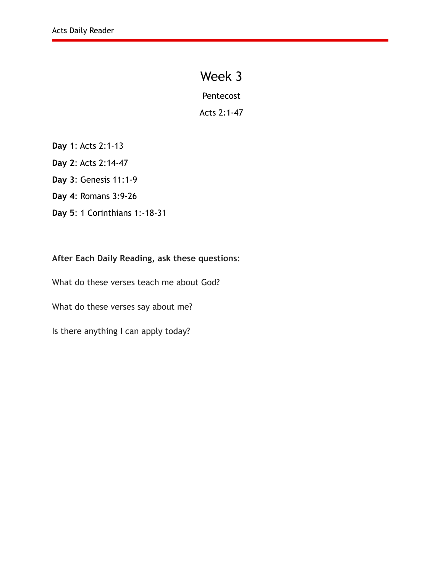Pentecost

Acts 2:1-47

**Day 1**: Acts 2:1-13

**Day 2**: Acts 2:14-47

**Day 3**: Genesis 11:1-9

**Day 4**: Romans 3:9-26

**Day 5**: 1 Corinthians 1:-18-31

#### **After Each Daily Reading, ask these questions**:

What do these verses teach me about God?

What do these verses say about me?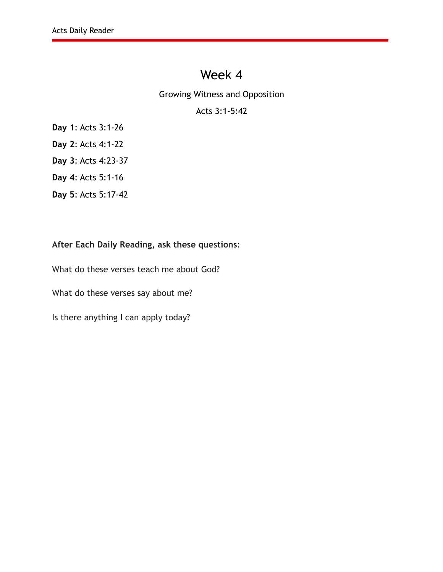Growing Witness and Opposition

### Acts 3:1-5:42

**Day 1**: Acts 3:1-26

**Day 2**: Acts 4:1-22

**Day 3**: Acts 4:23-37

**Day 4**: Acts 5:1-16

**Day 5**: Acts 5:17-42

#### **After Each Daily Reading, ask these questions**:

What do these verses teach me about God?

What do these verses say about me?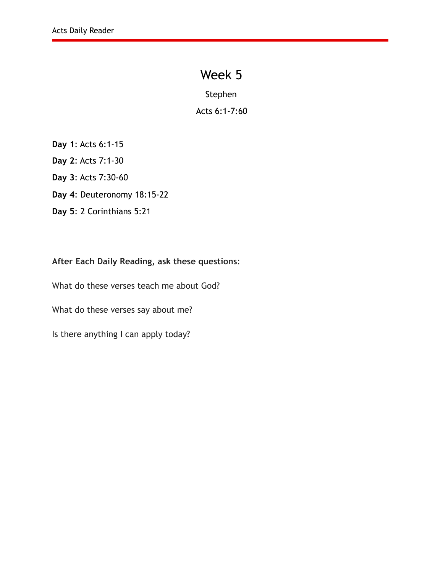Stephen

Acts 6:1-7:60

- **Day 1**: Acts 6:1-15
- **Day 2**: Acts 7:1-30
- **Day 3**: Acts 7:30-60
- **Day 4**: Deuteronomy 18:15-22
- **Day 5**: 2 Corinthians 5:21

**After Each Daily Reading, ask these questions**:

What do these verses teach me about God?

What do these verses say about me?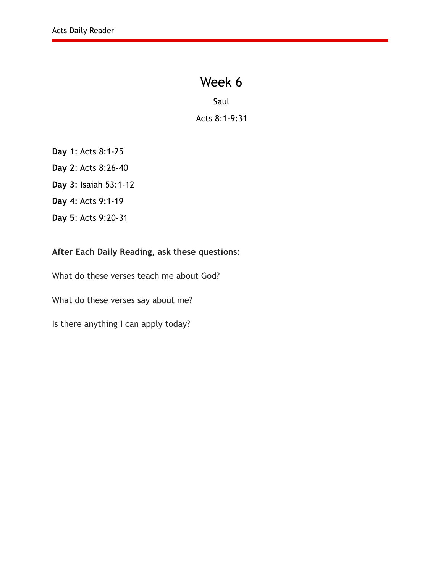Saul Acts 8:1-9:31

- **Day 1**: Acts 8:1-25
- **Day 2**: Acts 8:26-40
- **Day 3**: Isaiah 53:1-12
- **Day 4**: Acts 9:1-19
- **Day 5**: Acts 9:20-31

### **After Each Daily Reading, ask these questions**:

What do these verses teach me about God?

What do these verses say about me?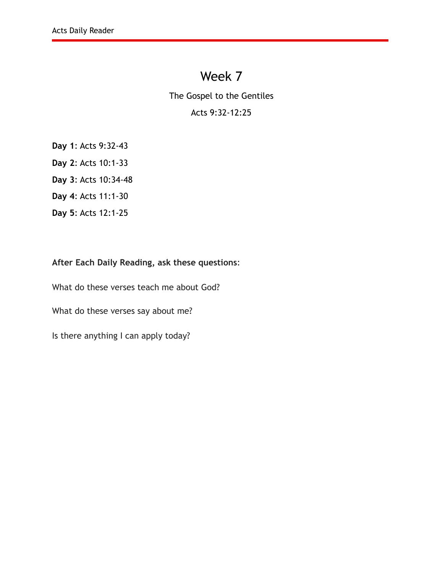The Gospel to the Gentiles

### Acts 9:32-12:25

- **Day 1**: Acts 9:32-43
- **Day 2**: Acts 10:1-33
- **Day 3**: Acts 10:34-48
- **Day 4**: Acts 11:1-30
- **Day 5**: Acts 12:1-25

#### **After Each Daily Reading, ask these questions**:

What do these verses teach me about God? What do these verses say about me?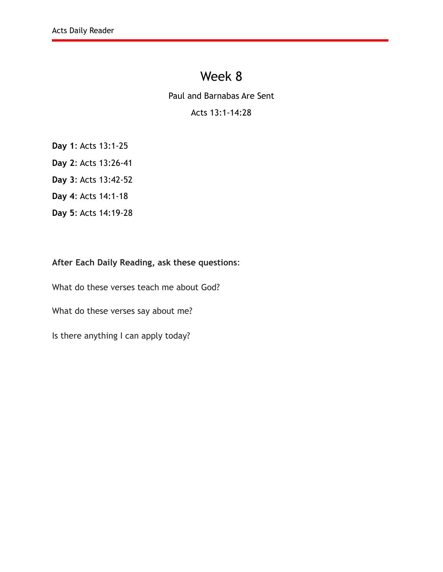Paul and Barnabas Are Sent

### Acts 13:1-14:28

- **Day 1**: Acts 13:1-25
- **Day 2**: Acts 13:26-41
- **Day 3**: Acts 13:42-52
- **Day 4**: Acts 14:1-18
- **Day 5**: Acts 14:19-28

#### **After Each Daily Reading, ask these questions**:

What do these verses teach me about God? What do these verses say about me? Is there anything I can apply today?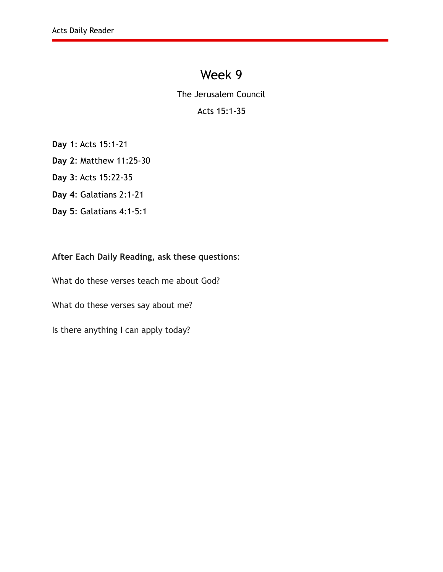The Jerusalem Council

### Acts 15:1-35

**Day 1**: Acts 15:1-21

**Day 2**: Matthew 11:25-30

**Day 3**: Acts 15:22-35

**Day 4**: Galatians 2:1-21

**Day 5**: Galatians 4:1-5:1

### **After Each Daily Reading, ask these questions**:

What do these verses teach me about God?

What do these verses say about me?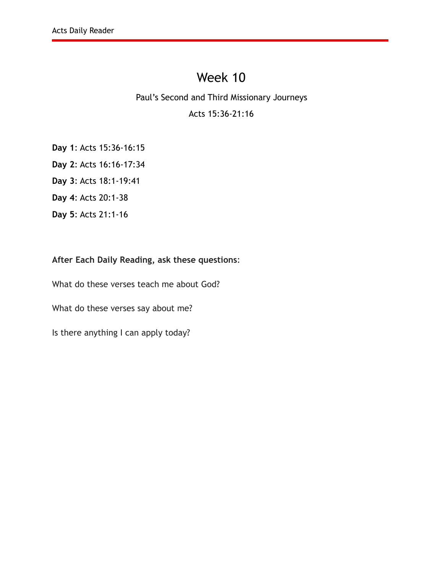#### Paul's Second and Third Missionary Journeys

### Acts 15:36-21:16

**Day 1**: Acts 15:36-16:15

**Day 2**: Acts 16:16-17:34

**Day 3**: Acts 18:1-19:41

**Day 4**: Acts 20:1-38

**Day 5**: Acts 21:1-16

### **After Each Daily Reading, ask these questions**:

What do these verses teach me about God?

What do these verses say about me?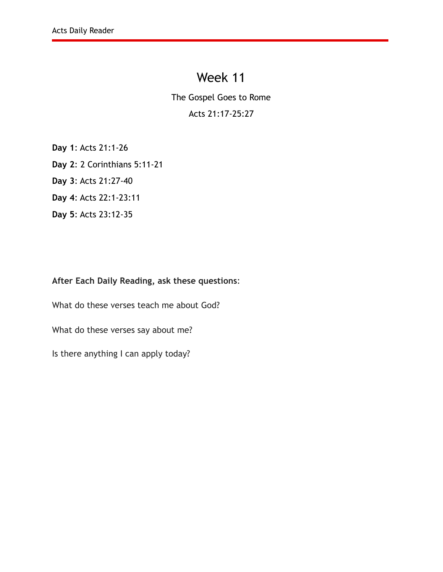The Gospel Goes to Rome

### Acts 21:17-25:27

**Day 1**: Acts 21:1-26

**Day 2**: 2 Corinthians 5:11-21

**Day 3**: Acts 21:27-40

**Day 4**: Acts 22:1-23:11

**Day 5**: Acts 23:12-35

### **After Each Daily Reading, ask these questions**:

What do these verses teach me about God?

What do these verses say about me?